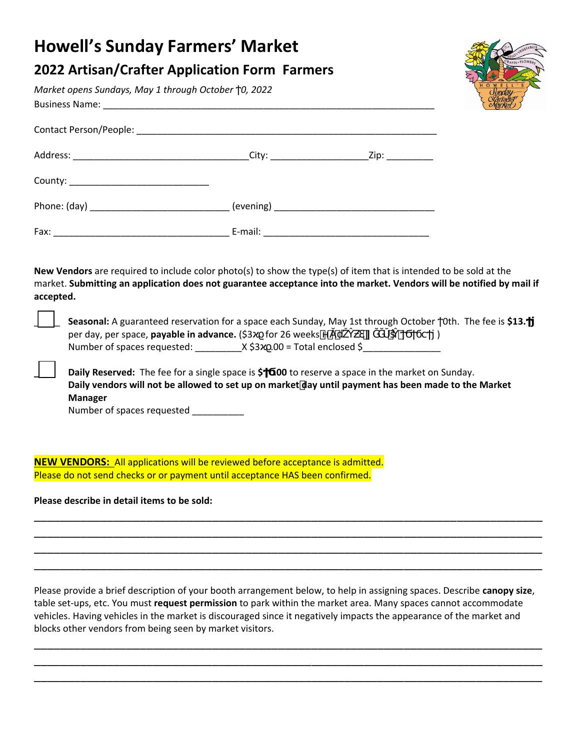## **Howell's Sunday Farmers' Market**

## **2022 Artisan/Crafter Application Form Farmers**

*Market opens Sundays, May 1 through October 0, 2022*  Business Name: \_\_\_\_\_\_\_\_\_\_\_\_\_\_\_\_\_\_\_\_\_\_\_\_\_\_\_\_\_\_\_\_\_\_\_\_\_\_\_\_\_\_\_\_\_\_\_\_\_\_\_\_\_\_\_\_\_\_\_\_\_\_\_\_

| Fax: | E-mail: |  |
|------|---------|--|

**New Vendors** are required to include color photo(s) to show the type(s) of item that is intended to be sold at the market. **Submitting an application does not guarantee acceptance into the market. Vendors will be notified by mail if accepted.** 

\_\_\_\_\_ **Seasonal:** A guaranteed reservation for a space each Sunday, May 1st through October 0th. The fee is **\$13.Ϯϳ** per day, per space, **payable in advance.** (\$3 for 26 weeks **in the contract of the contract of the contract of the contract of the contract of the contract of the contract of the contract of the contract of the contract of** Number of spaces requested: \_\_\_\_\_\_\_\_\_X \$3ϰϱ.00 = Total enclosed \$\_\_\_\_\_\_\_\_\_\_\_\_\_\_\_

**Daily Reserved:** The fee for a single space is \$ **.00** to reserve a space in the market on Sunday. **Daily vendors will not be allowed to set up on marketday until payment has been made to the Market Manager** 

Number of spaces requested \_\_\_\_\_\_\_\_\_

**NEW VENDORS:** All applications will be reviewed before acceptance is admitted. Please do not send checks or or payment until acceptance HAS been confirmed.

**Please describe in detail items to be sold:**

Please provide a brief description of your booth arrangement below, to help in assigning spaces. Describe **canopy size**, table set-ups, etc. You must **request permission** to park within the market area. Many spaces cannot accommodate vehicles. Having vehicles in the market is discouraged since it negatively impacts the appearance of the market and blocks other vendors from being seen by market visitors.

\_\_\_\_\_\_\_\_\_\_\_\_\_\_\_\_\_\_\_\_\_\_\_\_\_\_\_\_\_\_\_\_\_\_\_\_\_\_\_\_\_\_\_\_\_\_\_\_\_\_\_\_\_\_\_\_\_\_\_\_\_\_\_\_\_\_\_\_\_\_\_\_\_\_\_\_\_ \_\_\_\_\_\_\_\_\_\_\_\_\_\_\_\_\_\_\_\_\_\_\_\_\_\_\_\_\_\_\_\_\_\_\_\_\_\_\_\_\_\_\_\_\_\_\_\_\_\_\_\_\_\_\_\_\_\_\_\_\_\_\_\_\_\_\_\_\_\_\_\_\_\_\_\_\_ \_\_\_\_\_\_\_\_\_\_\_\_\_\_\_\_\_\_\_\_\_\_\_\_\_\_\_\_\_\_\_\_\_\_\_\_\_\_\_\_\_\_\_\_\_\_\_\_\_\_\_\_\_\_\_\_\_\_\_\_\_\_\_\_\_\_\_\_\_\_\_\_\_\_\_\_\_

\_\_\_\_\_\_\_\_\_\_\_\_\_\_\_\_\_\_\_\_\_\_\_\_\_\_\_\_\_\_\_\_\_\_\_\_\_\_\_\_\_\_\_\_\_\_\_\_\_\_\_\_\_\_\_\_\_\_\_\_\_\_\_\_\_\_\_\_\_\_\_\_\_\_\_\_\_ \_\_\_\_\_\_\_\_\_\_\_\_\_\_\_\_\_\_\_\_\_\_\_\_\_\_\_\_\_\_\_\_\_\_\_\_\_\_\_\_\_\_\_\_\_\_\_\_\_\_\_\_\_\_\_\_\_\_\_\_\_\_\_\_\_\_\_\_\_\_\_\_\_\_\_\_\_ \_\_\_\_\_\_\_\_\_\_\_\_\_\_\_\_\_\_\_\_\_\_\_\_\_\_\_\_\_\_\_\_\_\_\_\_\_\_\_\_\_\_\_\_\_\_\_\_\_\_\_\_\_\_\_\_\_\_\_\_\_\_\_\_\_\_\_\_\_\_\_\_\_\_\_\_\_ \_\_\_\_\_\_\_\_\_\_\_\_\_\_\_\_\_\_\_\_\_\_\_\_\_\_\_\_\_\_\_\_\_\_\_\_\_\_\_\_\_\_\_\_\_\_\_\_\_\_\_\_\_\_\_\_\_\_\_\_\_\_\_\_\_\_\_\_\_\_\_\_\_\_\_\_\_